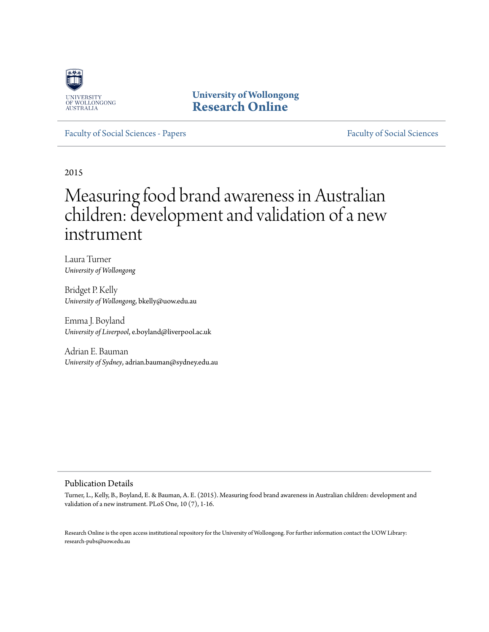

**University of Wollongong [Research Online](http://ro.uow.edu.au)**

[Faculty of Social Sciences - Papers](http://ro.uow.edu.au/sspapers) [Faculty of Social Sciences](http://ro.uow.edu.au/ss)

2015

# Measuring food brand awareness in Australian children: development and validation of a new instrument

Laura Turner *University of Wollongong*

Bridget P. Kelly *University of Wollongong*, bkelly@uow.edu.au

Emma J. Boyland *University of Liverpool*, e.boyland@liverpool.ac.uk

Adrian E. Bauman *University of Sydney*, adrian.bauman@sydney.edu.au

#### Publication Details

Turner, L., Kelly, B., Boyland, E. & Bauman, A. E. (2015). Measuring food brand awareness in Australian children: development and validation of a new instrument. PLoS One, 10 (7), 1-16.

Research Online is the open access institutional repository for the University of Wollongong. For further information contact the UOW Library: research-pubs@uow.edu.au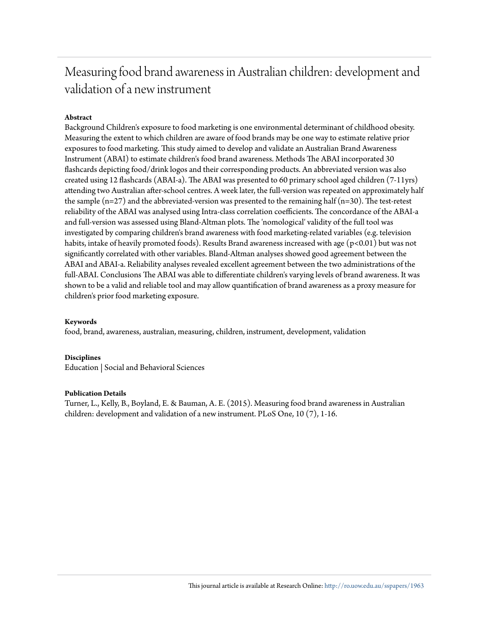# Measuring food brand awareness in Australian children: development and validation of a new instrument

#### **Abstract**

Background Children's exposure to food marketing is one environmental determinant of childhood obesity. Measuring the extent to which children are aware of food brands may be one way to estimate relative prior exposures to food marketing. This study aimed to develop and validate an Australian Brand Awareness Instrument (ABAI) to estimate children's food brand awareness. Methods The ABAI incorporated 30 flashcards depicting food/drink logos and their corresponding products. An abbreviated version was also created using 12 flashcards (ABAI-a). The ABAI was presented to 60 primary school aged children (7-11yrs) attending two Australian after-school centres. A week later, the full-version was repeated on approximately half the sample (n=27) and the abbreviated-version was presented to the remaining half (n=30). The test-retest reliability of the ABAI was analysed using Intra-class correlation coefficients. The concordance of the ABAI-a and full-version was assessed using Bland-Altman plots. The 'nomological' validity of the full tool was investigated by comparing children's brand awareness with food marketing-related variables (e.g. television habits, intake of heavily promoted foods). Results Brand awareness increased with age (p<0.01) but was not significantly correlated with other variables. Bland-Altman analyses showed good agreement between the ABAI and ABAI-a. Reliability analyses revealed excellent agreement between the two administrations of the full-ABAI. Conclusions The ABAI was able to differentiate children's varying levels of brand awareness. It was shown to be a valid and reliable tool and may allow quantification of brand awareness as a proxy measure for children's prior food marketing exposure.

#### **Keywords**

food, brand, awareness, australian, measuring, children, instrument, development, validation

#### **Disciplines**

Education | Social and Behavioral Sciences

#### **Publication Details**

Turner, L., Kelly, B., Boyland, E. & Bauman, A. E. (2015). Measuring food brand awareness in Australian children: development and validation of a new instrument. PLoS One, 10 (7), 1-16.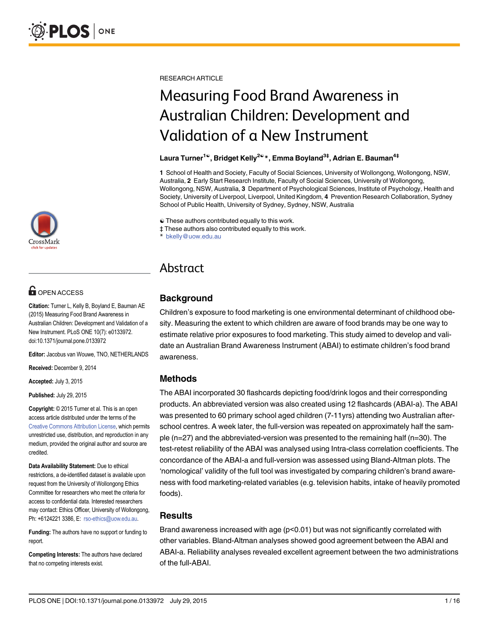

# **G** OPEN ACCESS

Citation: Turner L, Kelly B, Boyland E, Bauman AE (2015) Measuring Food Brand Awareness in Australian Children: Development and Validation of a New Instrument. PLoS ONE 10(7): e0133972. doi:10.1371/journal.pone.0133972

Editor: Jacobus van Wouwe, TNO, NETHERLANDS

Received: December 9, 2014

Accepted: July 3, 2015

Published: July 29, 2015

Copyright: © 2015 Turner et al. This is an open access article distributed under the terms of the [Creative Commons Attribution License,](http://creativecommons.org/licenses/by/4.0/) which permits unrestricted use, distribution, and reproduction in any medium, provided the original author and source are credited.

Data Availability Statement: Due to ethical restrictions, a de-identified dataset is available upon request from the University of Wollongong Ethics Committee for researchers who meet the criteria for access to confidential data. Interested researchers may contact: Ethics Officer, University of Wollongong, Ph: +6124221 3386, E: rso-ethics@uow.edu.au.

Funding: The authors have no support or funding to report.

Competing Interests: The authors have declared that no competing interests exist.

RESEARCH ARTICLE

# Measuring Food Brand Awareness in Australian Children: Development and Validation of a New Instrument

## Laura Turner<sup>1©</sup>, Bridget Kelly<sup>2©</sup>\*, Emma Boyland<sup>3‡</sup>, Adrian E. Bauman<sup>4‡</sup>

1 School of Health and Society, Faculty of Social Sciences, University of Wollongong, Wollongong, NSW, Australia, 2 Early Start Research Institute, Faculty of Social Sciences, University of Wollongong, Wollongong, NSW, Australia, 3 Department of Psychological Sciences, Institute of Psychology, Health and Society, University of Liverpool, Liverpool, United Kingdom, 4 Prevention Research Collaboration, Sydney School of Public Health, University of Sydney, Sydney, NSW, Australia

☯ These authors contributed equally to this work.

‡ These authors also contributed equally to this work.

bkelly@uow.edu.au

# Abstract

# **Background**

Children's exposure to food marketing is one environmental determinant of childhood obesity. Measuring the extent to which children are aware of food brands may be one way to estimate relative prior exposures to food marketing. This study aimed to develop and validate an Australian Brand Awareness Instrument (ABAI) to estimate children's food brand awareness.

# Methods

The ABAI incorporated 30 flashcards depicting food/drink logos and their corresponding products. An abbreviated version was also created using 12 flashcards (ABAI-a). The ABAI was presented to 60 primary school aged children (7-11yrs) attending two Australian afterschool centres. A week later, the full-version was repeated on approximately half the sample  $(n=27)$  and the abbreviated-version was presented to the remaining half  $(n=30)$ . The test-retest reliability of the ABAI was analysed using Intra-class correlation coefficients. The concordance of the ABAI-a and full-version was assessed using Bland-Altman plots. The 'nomological' validity of the full tool was investigated by comparing children's brand awareness with food marketing-related variables (e.g. television habits, intake of heavily promoted foods).

# Results

Brand awareness increased with age  $(p< 0.01)$  but was not significantly correlated with other variables. Bland-Altman analyses showed good agreement between the ABAI and ABAI-a. Reliability analyses revealed excellent agreement between the two administrations of the full-ABAI.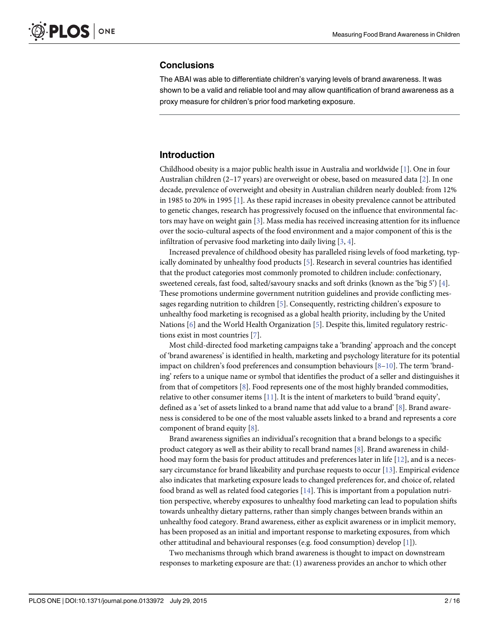### <span id="page-3-0"></span>**Conclusions**

The ABAI was able to differentiate children's varying levels of brand awareness. It was shown to be a valid and reliable tool and may allow quantification of brand awareness as a proxy measure for children's prior food marketing exposure.

# Introduction

Childhood obesity is a major public health issue in Australia and worldwide [[1\]](#page-16-0). One in four Australian children (2–17 years) are overweight or obese, based on measured data [[2\]](#page-16-0). In one decade, prevalence of overweight and obesity in Australian children nearly doubled: from 12% in 1985 to 20% in 1995 [\[1\]](#page-16-0). As these rapid increases in obesity prevalence cannot be attributed to genetic changes, research has progressively focused on the influence that environmental factors may have on weight gain [\[3\]](#page-16-0). Mass media has received increasing attention for its influence over the socio-cultural aspects of the food environment and a major component of this is the infiltration of pervasive food marketing into daily living  $[3, 4]$  $[3, 4]$  $[3, 4]$  $[3, 4]$ .

Increased prevalence of childhood obesity has paralleled rising levels of food marketing, typically dominated by unhealthy food products [\[5](#page-16-0)]. Research in several countries has identified that the product categories most commonly promoted to children include: confectionary, sweetened cereals, fast food, salted/savoury snacks and soft drinks (known as the 'big 5') [[4\]](#page-16-0). These promotions undermine government nutrition guidelines and provide conflicting messages regarding nutrition to children  $[5]$  $[5]$ . Consequently, restricting children's exposure to unhealthy food marketing is recognised as a global health priority, including by the United Nations [\[6\]](#page-16-0) and the World Health Organization [\[5](#page-16-0)]. Despite this, limited regulatory restrictions exist in most countries [\[7\]](#page-16-0).

Most child-directed food marketing campaigns take a 'branding' approach and the concept of 'brand awareness' is identified in health, marketing and psychology literature for its potential impact on children's food preferences and consumption behaviours [[8](#page-16-0)–[10](#page-16-0)]. The term 'branding' refers to a unique name or symbol that identifies the product of a seller and distinguishes it from that of competitors  $[8]$  $[8]$ . Food represents one of the most highly branded commodities, relative to other consumer items [[11](#page-16-0)]. It is the intent of marketers to build 'brand equity', defined as a 'set of assets linked to a brand name that add value to a brand'  $[8]$ . Brand awareness is considered to be one of the most valuable assets linked to a brand and represents a core component of brand equity [\[8\]](#page-16-0).

Brand awareness signifies an individual's recognition that a brand belongs to a specific product category as well as their ability to recall brand names  $[8]$  $[8]$ . Brand awareness in childhood may form the basis for product attitudes and preferences later in life [[12](#page-16-0)], and is a necessary circumstance for brand likeability and purchase requests to occur  $[13]$ . Empirical evidence also indicates that marketing exposure leads to changed preferences for, and choice of, related food brand as well as related food categories [[14](#page-16-0)]. This is important from a population nutrition perspective, whereby exposures to unhealthy food marketing can lead to population shifts towards unhealthy dietary patterns, rather than simply changes between brands within an unhealthy food category. Brand awareness, either as explicit awareness or in implicit memory, has been proposed as an initial and important response to marketing exposures, from which other attitudinal and behavioural responses (e.g. food consumption) develop  $[1]$ ).

Two mechanisms through which brand awareness is thought to impact on downstream responses to marketing exposure are that: (1) awareness provides an anchor to which other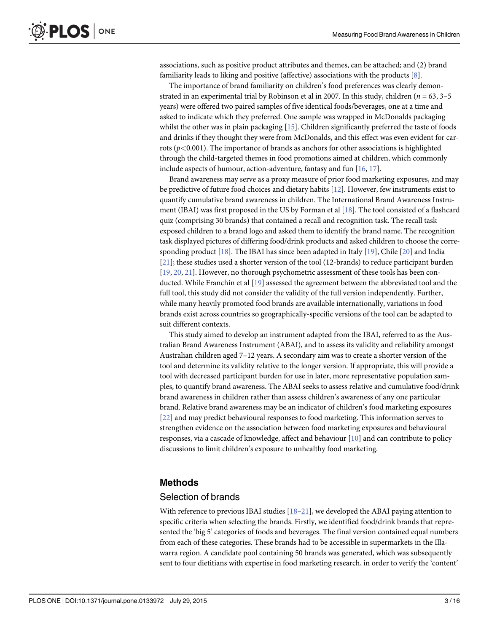<span id="page-4-0"></span>associations, such as positive product attributes and themes, can be attached; and (2) brand familiarity leads to liking and positive (affective) associations with the products [\[8](#page-16-0)].

The importance of brand familiarity on children's food preferences was clearly demonstrated in an experimental trial by Robinson et al in 2007. In this study, children ( $n = 63, 3-5$ years) were offered two paired samples of five identical foods/beverages, one at a time and asked to indicate which they preferred. One sample was wrapped in McDonalds packaging whilst the other was in plain packaging [[15](#page-16-0)]. Children significantly preferred the taste of foods and drinks if they thought they were from McDonalds, and this effect was even evident for carrots ( $p < 0.001$ ). The importance of brands as anchors for other associations is highlighted through the child-targeted themes in food promotions aimed at children, which commonly include aspects of humour, action-adventure, fantasy and fun [\[16,](#page-16-0) [17\]](#page-16-0).

Brand awareness may serve as a proxy measure of prior food marketing exposures, and may be predictive of future food choices and dietary habits [[12](#page-16-0)]. However, few instruments exist to quantify cumulative brand awareness in children. The International Brand Awareness Instrument (IBAI) was first proposed in the US by Forman et al  $[18]$  $[18]$  $[18]$ . The tool consisted of a flashcard quiz (comprising 30 brands) that contained a recall and recognition task. The recall task exposed children to a brand logo and asked them to identify the brand name. The recognition task displayed pictures of differing food/drink products and asked children to choose the corresponding product [\[18](#page-16-0)]. The IBAI has since been adapted in Italy [[19](#page-16-0)], Chile [[20](#page-16-0)] and India [\[21](#page-16-0)]; these studies used a shorter version of the tool (12-brands) to reduce participant burden [\[19](#page-16-0), [20,](#page-16-0) [21](#page-16-0)]. However, no thorough psychometric assessment of these tools has been conducted. While Franchin et al [\[19\]](#page-16-0) assessed the agreement between the abbreviated tool and the full tool, this study did not consider the validity of the full version independently. Further, while many heavily promoted food brands are available internationally, variations in food brands exist across countries so geographically-specific versions of the tool can be adapted to suit different contexts.

This study aimed to develop an instrument adapted from the IBAI, referred to as the Australian Brand Awareness Instrument (ABAI), and to assess its validity and reliability amongst Australian children aged 7–12 years. A secondary aim was to create a shorter version of the tool and determine its validity relative to the longer version. If appropriate, this will provide a tool with decreased participant burden for use in later, more representative population samples, to quantify brand awareness. The ABAI seeks to assess relative and cumulative food/drink brand awareness in children rather than assess children's awareness of any one particular brand. Relative brand awareness may be an indicator of children's food marketing exposures [\[22](#page-17-0)] and may predict behavioural responses to food marketing. This information serves to strengthen evidence on the association between food marketing exposures and behavioural responses, via a cascade of knowledge, affect and behaviour [\[10](#page-16-0)] and can contribute to policy discussions to limit children's exposure to unhealthy food marketing.

#### Methods

#### Selection of brands

With reference to previous IBAI studies  $[18–21]$  $[18–21]$  $[18–21]$  $[18–21]$  $[18–21]$ , we developed the ABAI paying attention to specific criteria when selecting the brands. Firstly, we identified food/drink brands that represented the 'big 5' categories of foods and beverages. The final version contained equal numbers from each of these categories. These brands had to be accessible in supermarkets in the Illawarra region. A candidate pool containing 50 brands was generated, which was subsequently sent to four dietitians with expertise in food marketing research, in order to verify the 'content'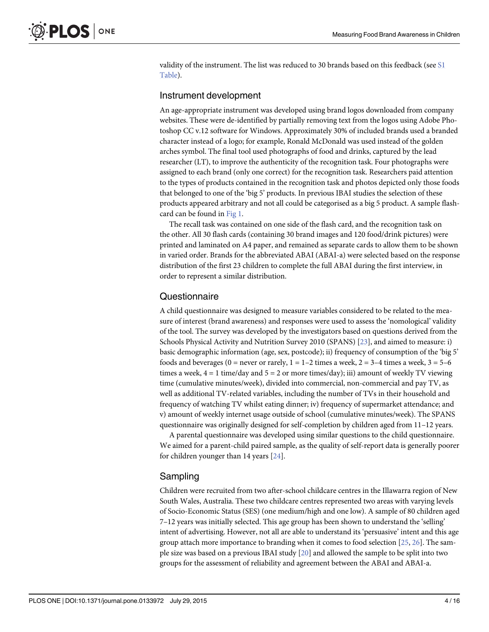<span id="page-5-0"></span>validity of the instrument. The list was reduced to 30 brands based on this feedback (see [S1](#page-15-0) [Table](#page-15-0)).

#### Instrument development

An age-appropriate instrument was developed using brand logos downloaded from company websites. These were de-identified by partially removing text from the logos using Adobe Photoshop CC v.12 software for Windows. Approximately 30% of included brands used a branded character instead of a logo; for example, Ronald McDonald was used instead of the golden arches symbol. The final tool used photographs of food and drinks, captured by the lead researcher (LT), to improve the authenticity of the recognition task. Four photographs were assigned to each brand (only one correct) for the recognition task. Researchers paid attention to the types of products contained in the recognition task and photos depicted only those foods that belonged to one of the 'big 5' products. In previous IBAI studies the selection of these products appeared arbitrary and not all could be categorised as a big 5 product. A sample flashcard can be found in [Fig 1.](#page-6-0)

The recall task was contained on one side of the flash card, and the recognition task on the other. All 30 flash cards (containing 30 brand images and 120 food/drink pictures) were printed and laminated on A4 paper, and remained as separate cards to allow them to be shown in varied order. Brands for the abbreviated ABAI (ABAI-a) were selected based on the response distribution of the first 23 children to complete the full ABAI during the first interview, in order to represent a similar distribution.

#### **Questionnaire**

A child questionnaire was designed to measure variables considered to be related to the measure of interest (brand awareness) and responses were used to assess the 'nomological' validity of the tool. The survey was developed by the investigators based on questions derived from the Schools Physical Activity and Nutrition Survey 2010 (SPANS) [[23\]](#page-17-0), and aimed to measure: i) basic demographic information (age, sex, postcode); ii) frequency of consumption of the 'big 5' foods and beverages (0 = never or rarely,  $1 = 1-2$  times a week,  $2 = 3-4$  times a week,  $3 = 5-6$ times a week,  $4 = 1$  time/day and  $5 = 2$  or more times/day); iii) amount of weekly TV viewing time (cumulative minutes/week), divided into commercial, non-commercial and pay TV, as well as additional TV-related variables, including the number of TVs in their household and frequency of watching TV whilst eating dinner; iv) frequency of supermarket attendance; and v) amount of weekly internet usage outside of school (cumulative minutes/week). The SPANS questionnaire was originally designed for self-completion by children aged from 11–12 years.

A parental questionnaire was developed using similar questions to the child questionnaire. We aimed for a parent-child paired sample, as the quality of self-report data is generally poorer for children younger than 14 years [\[24\]](#page-17-0).

# Sampling

Children were recruited from two after-school childcare centres in the Illawarra region of New South Wales, Australia. These two childcare centres represented two areas with varying levels of Socio-Economic Status (SES) (one medium/high and one low). A sample of 80 children aged 7–12 years was initially selected. This age group has been shown to understand the 'selling' intent of advertising. However, not all are able to understand its 'persuasive' intent and this age group attach more importance to branding when it comes to food selection [\[25,](#page-17-0) [26\]](#page-17-0). The sample size was based on a previous IBAI study [[20\]](#page-16-0) and allowed the sample to be split into two groups for the assessment of reliability and agreement between the ABAI and ABAI-a.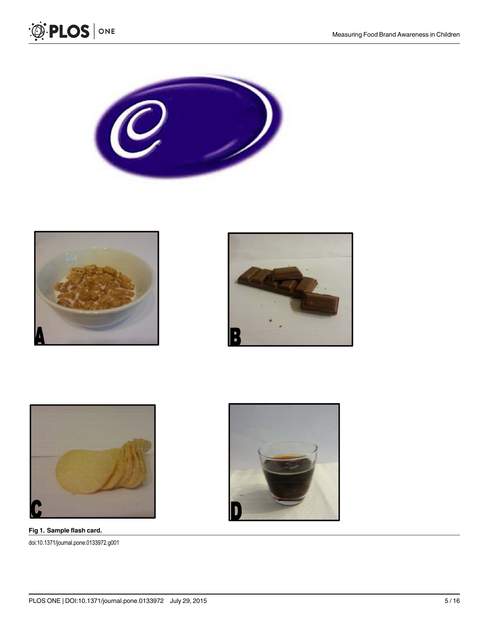<span id="page-6-0"></span>











[Fig 1. S](#page-5-0)ample flash card. doi:10.1371/journal.pone.0133972.g001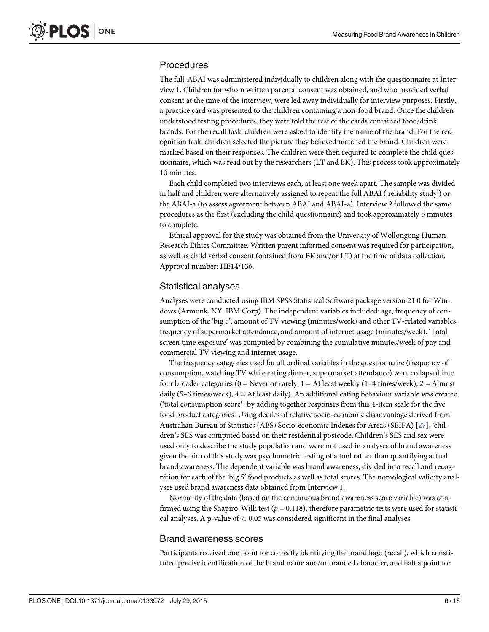## <span id="page-7-0"></span>**Procedures**

The full-ABAI was administered individually to children along with the questionnaire at Interview 1. Children for whom written parental consent was obtained, and who provided verbal consent at the time of the interview, were led away individually for interview purposes. Firstly, a practice card was presented to the children containing a non-food brand. Once the children understood testing procedures, they were told the rest of the cards contained food/drink brands. For the recall task, children were asked to identify the name of the brand. For the recognition task, children selected the picture they believed matched the brand. Children were marked based on their responses. The children were then required to complete the child questionnaire, which was read out by the researchers (LT and BK). This process took approximately 10 minutes.

Each child completed two interviews each, at least one week apart. The sample was divided in half and children were alternatively assigned to repeat the full ABAI ('reliability study') or the ABAI-a (to assess agreement between ABAI and ABAI-a). Interview 2 followed the same procedures as the first (excluding the child questionnaire) and took approximately 5 minutes to complete.

Ethical approval for the study was obtained from the University of Wollongong Human Research Ethics Committee. Written parent informed consent was required for participation, as well as child verbal consent (obtained from BK and/or LT) at the time of data collection. Approval number: HE14/136.

#### Statistical analyses

Analyses were conducted using IBM SPSS Statistical Software package version 21.0 for Windows (Armonk, NY: IBM Corp). The independent variables included: age, frequency of consumption of the 'big 5', amount of TV viewing (minutes/week) and other TV-related variables, frequency of supermarket attendance, and amount of internet usage (minutes/week). 'Total screen time exposure' was computed by combining the cumulative minutes/week of pay and commercial TV viewing and internet usage.

The frequency categories used for all ordinal variables in the questionnaire (frequency of consumption, watching TV while eating dinner, supermarket attendance) were collapsed into four broader categories (0 = Never or rarely,  $1 = At$  least weekly (1–4 times/week),  $2 = Almost$ daily (5–6 times/week), 4 = At least daily). An additional eating behaviour variable was created ('total consumption score') by adding together responses from this 4-item scale for the five food product categories. Using deciles of relative socio-economic disadvantage derived from Australian Bureau of Statistics (ABS) Socio-economic Indexes for Areas (SEIFA) [[27\]](#page-17-0), 'children's SES was computed based on their residential postcode. Children's SES and sex were used only to describe the study population and were not used in analyses of brand awareness given the aim of this study was psychometric testing of a tool rather than quantifying actual brand awareness. The dependent variable was brand awareness, divided into recall and recognition for each of the 'big 5' food products as well as total scores. The nomological validity analyses used brand awareness data obtained from Interview 1.

Normality of the data (based on the continuous brand awareness score variable) was confirmed using the Shapiro-Wilk test ( $p = 0.118$ ), therefore parametric tests were used for statistical analyses. A p-value of  $< 0.05$  was considered significant in the final analyses.

#### Brand awareness scores

Participants received one point for correctly identifying the brand logo (recall), which constituted precise identification of the brand name and/or branded character, and half a point for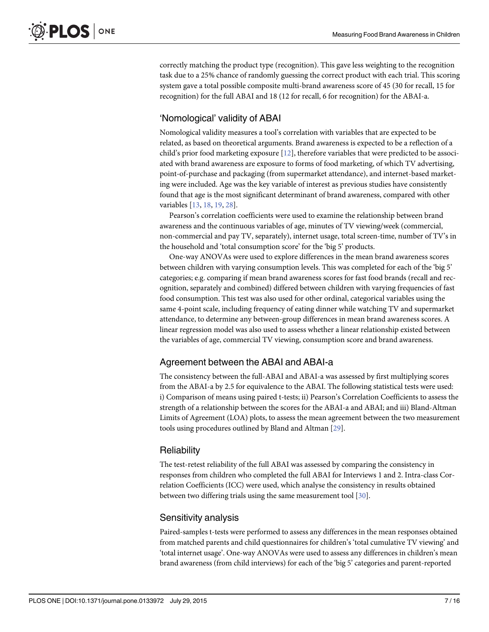<span id="page-8-0"></span>correctly matching the product type (recognition). This gave less weighting to the recognition task due to a 25% chance of randomly guessing the correct product with each trial. This scoring system gave a total possible composite multi-brand awareness score of 45 (30 for recall, 15 for recognition) for the full ABAI and 18 (12 for recall, 6 for recognition) for the ABAI-a.

# 'Nomological' validity of ABAI

Nomological validity measures a tool's correlation with variables that are expected to be related, as based on theoretical arguments. Brand awareness is expected to be a reflection of a child's prior food marketing exposure  $[12]$  $[12]$ , therefore variables that were predicted to be associated with brand awareness are exposure to forms of food marketing, of which TV advertising, point-of-purchase and packaging (from supermarket attendance), and internet-based marketing were included. Age was the key variable of interest as previous studies have consistently found that age is the most significant determinant of brand awareness, compared with other variables [[13](#page-16-0), [18](#page-16-0), [19](#page-16-0), [28](#page-17-0)].

Pearson's correlation coefficients were used to examine the relationship between brand awareness and the continuous variables of age, minutes of TV viewing/week (commercial, non-commercial and pay TV, separately), internet usage, total screen-time, number of TV's in the household and 'total consumption score' for the 'big 5' products.

One-way ANOVAs were used to explore differences in the mean brand awareness scores between children with varying consumption levels. This was completed for each of the 'big 5' categories; e.g. comparing if mean brand awareness scores for fast food brands (recall and recognition, separately and combined) differed between children with varying frequencies of fast food consumption. This test was also used for other ordinal, categorical variables using the same 4-point scale, including frequency of eating dinner while watching TV and supermarket attendance, to determine any between-group differences in mean brand awareness scores. A linear regression model was also used to assess whether a linear relationship existed between the variables of age, commercial TV viewing, consumption score and brand awareness.

# Agreement between the ABAI and ABAI-a

The consistency between the full-ABAI and ABAI-a was assessed by first multiplying scores from the ABAI-a by 2.5 for equivalence to the ABAI. The following statistical tests were used: i) Comparison of means using paired t-tests; ii) Pearson's Correlation Coefficients to assess the strength of a relationship between the scores for the ABAI-a and ABAI; and iii) Bland-Altman Limits of Agreement (LOA) plots, to assess the mean agreement between the two measurement tools using procedures outlined by Bland and Altman [\[29\]](#page-17-0).

# Reliability

The test-retest reliability of the full ABAI was assessed by comparing the consistency in responses from children who completed the full ABAI for Interviews 1 and 2. Intra-class Correlation Coefficients (ICC) were used, which analyse the consistency in results obtained between two differing trials using the same measurement tool [[30](#page-17-0)].

# Sensitivity analysis

Paired-samples t-tests were performed to assess any differences in the mean responses obtained from matched parents and child questionnaires for children's 'total cumulative TV viewing' and 'total internet usage'. One-way ANOVAs were used to assess any differences in children's mean brand awareness (from child interviews) for each of the 'big 5' categories and parent-reported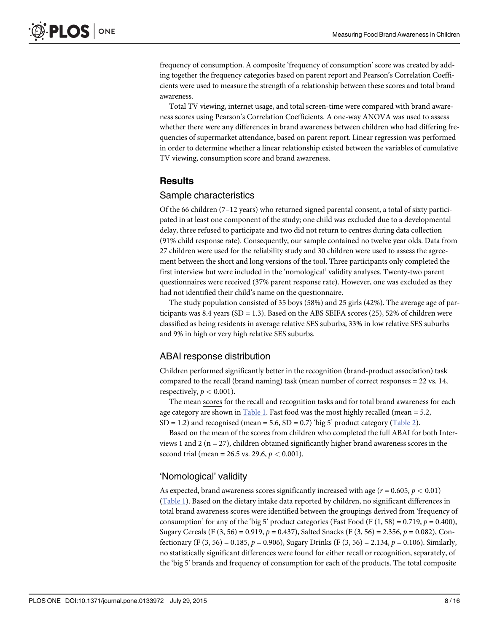<span id="page-9-0"></span>frequency of consumption. A composite 'frequency of consumption' score was created by adding together the frequency categories based on parent report and Pearson's Correlation Coefficients were used to measure the strength of a relationship between these scores and total brand awareness.

Total TV viewing, internet usage, and total screen-time were compared with brand awareness scores using Pearson's Correlation Coefficients. A one-way ANOVA was used to assess whether there were any differences in brand awareness between children who had differing frequencies of supermarket attendance, based on parent report. Linear regression was performed in order to determine whether a linear relationship existed between the variables of cumulative TV viewing, consumption score and brand awareness.

# **Results**

#### Sample characteristics

Of the 66 children (7–12 years) who returned signed parental consent, a total of sixty participated in at least one component of the study; one child was excluded due to a developmental delay, three refused to participate and two did not return to centres during data collection (91% child response rate). Consequently, our sample contained no twelve year olds. Data from 27 children were used for the reliability study and 30 children were used to assess the agreement between the short and long versions of the tool. Three participants only completed the first interview but were included in the 'nomological' validity analyses. Twenty-two parent questionnaires were received (37% parent response rate). However, one was excluded as they had not identified their child's name on the questionnaire.

The study population consisted of 35 boys (58%) and 25 girls (42%). The average age of participants was 8.4 years (SD =  $1.3$ ). Based on the ABS SEIFA scores (25), 52% of children were classified as being residents in average relative SES suburbs, 33% in low relative SES suburbs and 9% in high or very high relative SES suburbs.

#### ABAI response distribution

Children performed significantly better in the recognition (brand-product association) task compared to the recall (brand naming) task (mean number of correct responses = 22 vs. 14, respectively,  $p < 0.001$ ).

The mean scores for the recall and recognition tasks and for total brand awareness for each age category are shown in  $Table 1$ . Fast food was the most highly recalled (mean = 5.2,  $SD = 1.2$ ) and recognised (mean = 5.6,  $SD = 0.7$ ) 'big 5' product category ([Table 2\)](#page-10-0).

Based on the mean of the scores from children who completed the full ABAI for both Interviews 1 and 2 ( $n = 27$ ), children obtained significantly higher brand awareness scores in the second trial (mean = 26.5 vs. 29.6,  $p < 0.001$ ).

#### 'Nomological' validity

As expected, brand awareness scores significantly increased with age ( $r = 0.605$ ,  $p < 0.01$ ) [\(Table 1\)](#page-10-0). Based on the dietary intake data reported by children, no significant differences in total brand awareness scores were identified between the groupings derived from 'frequency of consumption' for any of the 'big 5' product categories (Fast Food (F  $(1, 58) = 0.719$ ,  $p = 0.400$ ), Sugary Cereals (F (3, 56) = 0.919,  $p = 0.437$ ), Salted Snacks (F (3, 56) = 2.356,  $p = 0.082$ ), Confectionary (F (3, 56) = 0.185,  $p = 0.906$ ), Sugary Drinks (F (3, 56) = 2.134,  $p = 0.106$ ). Similarly, no statistically significant differences were found for either recall or recognition, separately, of the 'big 5' brands and frequency of consumption for each of the products. The total composite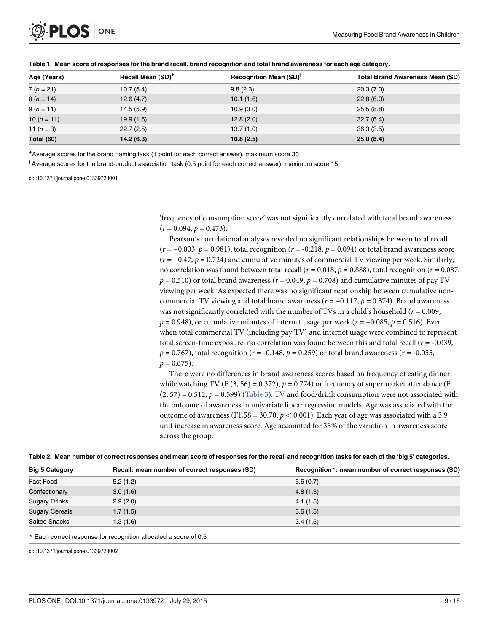<span id="page-10-0"></span>

| Age (Years)         | Recall Mean (SD)* | Recognition Mean $(SD)^{t}$ | <b>Total Brand Awareness Mean (SD)</b> |
|---------------------|-------------------|-----------------------------|----------------------------------------|
| $7(n=21)$           | 10.7(5.4)         | 9.8(2.3)                    | 20.3(7.0)                              |
| $8(n = 14)$         | 12.6(4.7)         | 10.1(1.6)                   | 22.8(6.0)                              |
| $9(n = 11)$         | 14.5(5.9)         | 10.9(3.0)                   | 25.5(8.8)                              |
| 10 ( <i>n</i> = 11) | 19.9(1.5)         | 12.8(2.0)                   | 32.7(6.4)                              |
| 11 $(n = 3)$        | 22.7(2.5)         | 13.7(1.0)                   | 36.3(3.5)                              |
| Total (60)          | 14.2(6.3)         | 10.8(2.5)                   | 25.0(8.4)                              |

[Table 1.](#page-9-0) Mean score of responses for the brand recall, brand recognition and total brand awareness for each age category.

♦Average scores for the brand naming task (1 point for each correct answer), maximum score 30

<sup>t</sup> Average scores for the brand-product association task (0.5 point for each correct answer), maximum score 15

doi:10.1371/journal.pone.0133972.t001

'frequency of consumption score' was not significantly correlated with total brand awareness  $(r = 0.094, p = 0.473).$ 

Pearson's correlational analyses revealed no significant relationships between total recall  $(r = -0.003, p = 0.981)$ , total recognition  $(r = -0.218, p = 0.094)$  or total brand awareness score  $(r = -0.47, p = 0.724)$  and cumulative minutes of commercial TV viewing per week. Similarly, no correlation was found between total recall ( $r = 0.018$ ,  $p = 0.888$ ), total recognition ( $r = 0.087$ ,  $p = 0.510$ ) or total brand awareness ( $r = 0.049$ ,  $p = 0.708$ ) and cumulative minutes of pay TV viewing per week. As expected there was no significant relationship between cumulative noncommercial TV viewing and total brand awareness ( $r = -0.117$ ,  $p = 0.374$ ). Brand awareness was not significantly correlated with the number of TVs in a child's household ( $r = 0.009$ ,  $p = 0.948$ , or cumulative minutes of internet usage per week ( $r = -0.085$ ,  $p = 0.516$ ). Even when total commercial TV (including pay TV) and internet usage were combined to represent total screen-time exposure, no correlation was found between this and total recall  $(r = -0.039,$  $p = 0.767$ ), total recognition ( $r = -0.148$ ,  $p = 0.259$ ) or total brand awareness ( $r = -0.055$ ,  $p = 0.675$ .

There were no differences in brand awareness scores based on frequency of eating dinner while watching TV (F  $(3, 56) = 0.372$ ),  $p = 0.774$ ) or frequency of supermarket attendance (F  $(2, 57) = 0.512$ ,  $p = 0.599$ ) ([Table 3](#page-11-0)). TV and food/drink consumption were not associated with the outcome of awareness in univariate linear regression models. Age was associated with the outcome of awareness (F1,58 = 30.70,  $p < 0.001$ ). Each year of age was associated with a 3.9 unit increase in awareness score. Age accounted for 35% of the variation in awareness score across the group.

|  |  | Table 2. Mean number of correct responses and mean score of responses for the recall and recognition tasks for each of the 'big 5' categories |  |
|--|--|-----------------------------------------------------------------------------------------------------------------------------------------------|--|
|  |  |                                                                                                                                               |  |

| <b>Big 5 Category</b> | Recall: mean number of correct responses (SD) | Recognition*: mean number of correct responses (SD) |
|-----------------------|-----------------------------------------------|-----------------------------------------------------|
| Fast Food             | 5.2(1.2)                                      | 5.6(0.7)                                            |
| Confectionary         | 3.0(1.6)                                      | 4.8(1.3)                                            |
| Sugary Drinks         | 2.9(2.0)                                      | 4.1(1.5)                                            |
| <b>Sugary Cereals</b> | 1.7(1.5)                                      | 3.6(1.5)                                            |
| <b>Salted Snacks</b>  | 1.3 (1.6)                                     | 3.4(1.5)                                            |

\* Each correct response for recognition allocated a score of 0.5

doi:10.1371/journal.pone.0133972.t002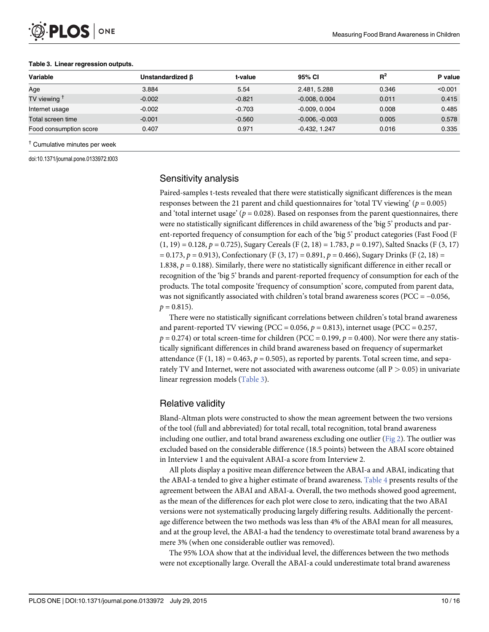<span id="page-11-0"></span>

#### [Table 3.](#page-10-0) Linear regression outputs.

| Variable               | Unstandardized <b>B</b> | t-value  | 95% CI           | $R^2$ | P value |
|------------------------|-------------------------|----------|------------------|-------|---------|
| Age                    | 3.884                   | 5.54     | 2.481, 5.288     | 0.346 | < 0.001 |
| TV viewing $T$         | $-0.002$                | $-0.821$ | $-0.008, 0.004$  | 0.011 | 0.415   |
| Internet usage         | $-0.002$                | $-0.703$ | $-0.009, 0.004$  | 0.008 | 0.485   |
| Total screen time      | $-0.001$                | $-0.560$ | $-0.006, -0.003$ | 0.005 | 0.578   |
| Food consumption score | 0.407                   | 0.971    | $-0.432.1247$    | 0.016 | 0.335   |

† Cumulative minutes per week

doi:10.1371/journal.pone.0133972.t003

#### Sensitivity analysis

Paired-samples t-tests revealed that there were statistically significant differences is the mean responses between the 21 parent and child questionnaires for 'total TV viewing' ( $p = 0.005$ ) and 'total internet usage' ( $p = 0.028$ ). Based on responses from the parent questionnaires, there were no statistically significant differences in child awareness of the 'big 5' products and parent-reported frequency of consumption for each of the 'big 5' product categories (Fast Food (F  $(1, 19) = 0.128$ ,  $p = 0.725$ ), Sugary Cereals (F  $(2, 18) = 1.783$ ,  $p = 0.197$ ), Salted Snacks (F  $(3, 17)$ )  $= 0.173$ ,  $p = 0.913$ ), Confectionary (F (3, 17) = 0.891,  $p = 0.466$ ), Sugary Drinks (F (2, 18) = 1.838,  $p = 0.188$ ). Similarly, there were no statistically significant difference in either recall or recognition of the 'big 5' brands and parent-reported frequency of consumption for each of the products. The total composite 'frequency of consumption' score, computed from parent data, was not significantly associated with children's total brand awareness scores ( $PCC = -0.056$ ,  $p = 0.815$ ).

There were no statistically significant correlations between children's total brand awareness and parent-reported TV viewing (PCC =  $0.056$ ,  $p = 0.813$ ), internet usage (PCC =  $0.257$ ,  $p = 0.274$ ) or total screen-time for children (PCC = 0.199,  $p = 0.400$ ). Nor were there any statistically significant differences in child brand awareness based on frequency of supermarket attendance (F  $(1, 18) = 0.463$ ,  $p = 0.505$ ), as reported by parents. Total screen time, and separately TV and Internet, were not associated with awareness outcome (all  $P > 0.05$ ) in univariate linear regression models (Table 3).

#### Relative validity

Bland-Altman plots were constructed to show the mean agreement between the two versions of the tool (full and abbreviated) for total recall, total recognition, total brand awareness including one outlier, and total brand awareness excluding one outlier ( $Fig 2$ ). The outlier was excluded based on the considerable difference (18.5 points) between the ABAI score obtained in Interview 1 and the equivalent ABAI-a score from Interview 2.

All plots display a positive mean difference between the ABAI-a and ABAI, indicating that the ABAI-a tended to give a higher estimate of brand awareness. [Table 4](#page-12-0) presents results of the agreement between the ABAI and ABAI-a. Overall, the two methods showed good agreement, as the mean of the differences for each plot were close to zero, indicating that the two ABAI versions were not systematically producing largely differing results. Additionally the percentage difference between the two methods was less than 4% of the ABAI mean for all measures, and at the group level, the ABAI-a had the tendency to overestimate total brand awareness by a mere 3% (when one considerable outlier was removed).

The 95% LOA show that at the individual level, the differences between the two methods were not exceptionally large. Overall the ABAI-a could underestimate total brand awareness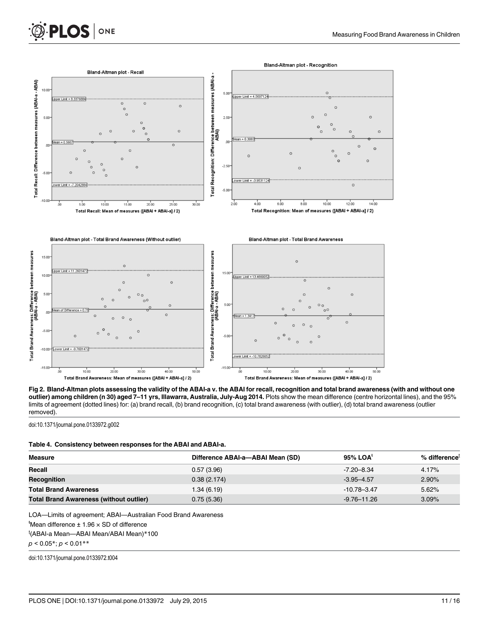

[Fig 2. B](#page-11-0)land-Altman plots assessing the validity of the ABAI-a v. the ABAI for recall, recognition and total brand awareness (with and without one outlier) among children (n 30) aged 7-11 yrs, Illawarra, Australia, July-Aug 2014. Plots show the mean difference (centre horizontal lines), and the 95% limits of agreement (dotted lines) for: (a) brand recall, (b) brand recognition, (c) total brand awareness (with outlier), (d) total brand awareness (outlier removed).

doi:10.1371/journal.pone.0133972.g002

| Table 4. Consistency between responses for the ABAI and ABAI-a. |  |
|-----------------------------------------------------------------|--|
|-----------------------------------------------------------------|--|

ONE

<span id="page-12-0"></span>**PLOS** I

| <b>Measure</b>                                 | Difference ABAI-a-ABAI Mean (SD) | $95\%$ LOA <sup>t</sup> | % difference |
|------------------------------------------------|----------------------------------|-------------------------|--------------|
| Recall                                         | 0.57(3.96)                       | $-7.20 - 8.34$          | 4.17%        |
| Recognition                                    | 0.38(2.174)                      | $-3.95 - 4.57$          | $2.90\%$     |
| <b>Total Brand Awareness</b>                   | 1.34(6.19)                       | $-10.78 - 3.47$         | 5.62%        |
| <b>Total Brand Awareness (without outlier)</b> | 0.75(5.36)                       | $-9.76 - 11.26$         | $3.09\%$     |

LOA—Limits of agreement; ABAI—Australian Food Brand Awareness

ŧ Mean difference ± 1.96 × SD of difference

ʈ (ABAI-a Mean—ABAI Mean/ABAI Mean)\*100

 $p < 0.05^*; p < 0.01^{**}$ 

doi:10.1371/journal.pone.0133972.t004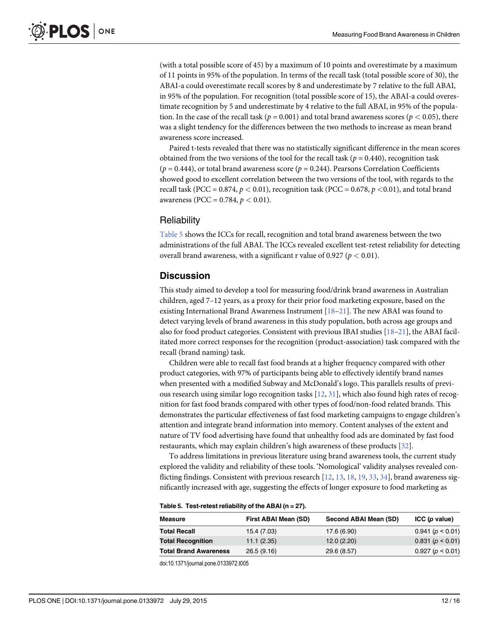<span id="page-13-0"></span>(with a total possible score of 45) by a maximum of 10 points and overestimate by a maximum of 11 points in 95% of the population. In terms of the recall task (total possible score of 30), the ABAI-a could overestimate recall scores by 8 and underestimate by 7 relative to the full ABAI, in 95% of the population. For recognition (total possible score of 15), the ABAI-a could overestimate recognition by 5 and underestimate by 4 relative to the full ABAI, in 95% of the population. In the case of the recall task ( $p = 0.001$ ) and total brand awareness scores ( $p < 0.05$ ), there was a slight tendency for the differences between the two methods to increase as mean brand awareness score increased.

Paired t-tests revealed that there was no statistically significant difference in the mean scores obtained from the two versions of the tool for the recall task ( $p = 0.440$ ), recognition task  $(p = 0.444)$ , or total brand awareness score  $(p = 0.244)$ . Pearsons Correlation Coefficients showed good to excellent correlation between the two versions of the tool, with regards to the recall task (PCC = 0.874,  $p < 0.01$ ), recognition task (PCC = 0.678,  $p < 0.01$ ), and total brand awareness (PCC = 0.784,  $p < 0.01$ ).

## **Reliability**

Table 5 shows the ICCs for recall, recognition and total brand awareness between the two administrations of the full ABAI. The ICCs revealed excellent test-retest reliability for detecting overall brand awareness, with a significant r value of 0.927 ( $p < 0.01$ ).

### **Discussion**

This study aimed to develop a tool for measuring food/drink brand awareness in Australian children, aged 7–12 years, as a proxy for their prior food marketing exposure, based on the existing International Brand Awareness Instrument  $[18-21]$  $[18-21]$  $[18-21]$  $[18-21]$  $[18-21]$ . The new ABAI was found to detect varying levels of brand awareness in this study population, both across age groups and also for food product categories. Consistent with previous IBAI studies  $[18-21]$  $[18-21]$  $[18-21]$  $[18-21]$ , the ABAI facilitated more correct responses for the recognition (product-association) task compared with the recall (brand naming) task.

Children were able to recall fast food brands at a higher frequency compared with other product categories, with 97% of participants being able to effectively identify brand names when presented with a modified Subway and McDonald's logo. This parallels results of previous research using similar logo recognition tasks [\[12,](#page-16-0) [31\]](#page-17-0), which also found high rates of recognition for fast food brands compared with other types of food/non-food related brands. This demonstrates the particular effectiveness of fast food marketing campaigns to engage children's attention and integrate brand information into memory. Content analyses of the extent and nature of TV food advertising have found that unhealthy food ads are dominated by fast food restaurants, which may explain children's high awareness of these products [\[32](#page-17-0)].

To address limitations in previous literature using brand awareness tools, the current study explored the validity and reliability of these tools. 'Nomological' validity analyses revealed conflicting findings. Consistent with previous research [\[12,](#page-16-0) [13,](#page-16-0) [18,](#page-16-0) [19,](#page-16-0) [33,](#page-17-0) [34\]](#page-17-0), brand awareness significantly increased with age, suggesting the effects of longer exposure to food marketing as

|  |  | Table 5. Test-retest reliability of the ABAI ( $n = 27$ ). |  |  |
|--|--|------------------------------------------------------------|--|--|
|--|--|------------------------------------------------------------|--|--|

| <b>Measure</b>               | First ABAI Mean (SD) | Second ABAI Mean (SD) | ICC(p value)     |
|------------------------------|----------------------|-----------------------|------------------|
| <b>Total Recall</b>          | 15.4 (7.03)          | 17.6 (6.90)           | 0.941(p < 0.01)  |
| <b>Total Recognition</b>     | 11.1(2.35)           | 12.0(2.20)            | 0.831(p < 0.01)  |
| <b>Total Brand Awareness</b> | 26.5(9.16)           | 29.6 (8.57)           | 0.927 (p < 0.01) |

doi:10.1371/journal.pone.0133972.t005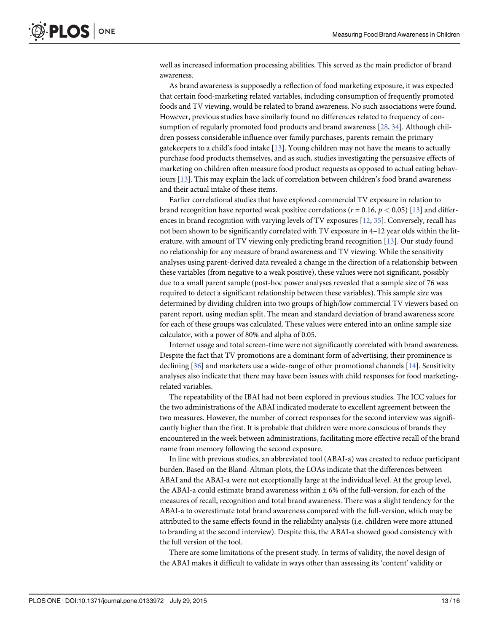<span id="page-14-0"></span>well as increased information processing abilities. This served as the main predictor of brand awareness.

As brand awareness is supposedly a reflection of food marketing exposure, it was expected that certain food-marketing related variables, including consumption of frequently promoted foods and TV viewing, would be related to brand awareness. No such associations were found. However, previous studies have similarly found no differences related to frequency of con-sumption of regularly promoted food products and brand awareness [\[28,](#page-17-0) [34\]](#page-17-0). Although children possess considerable influence over family purchases, parents remain the primary gatekeepers to a child's food intake  $[13]$  $[13]$ . Young children may not have the means to actually purchase food products themselves, and as such, studies investigating the persuasive effects of marketing on children often measure food product requests as opposed to actual eating behaviours [[13](#page-16-0)]. This may explain the lack of correlation between children's food brand awareness and their actual intake of these items.

Earlier correlational studies that have explored commercial TV exposure in relation to brand recognition have reported weak positive correlations ( $r = 0.16$ ,  $p < 0.05$ ) [\[13\]](#page-16-0) and differences in brand recognition with varying levels of TV exposures [[12,](#page-16-0) [35\]](#page-17-0). Conversely, recall has not been shown to be significantly correlated with TV exposure in 4–12 year olds within the literature, with amount of TV viewing only predicting brand recognition [\[13\]](#page-16-0). Our study found no relationship for any measure of brand awareness and TV viewing. While the sensitivity analyses using parent-derived data revealed a change in the direction of a relationship between these variables (from negative to a weak positive), these values were not significant, possibly due to a small parent sample (post-hoc power analyses revealed that a sample size of 76 was required to detect a significant relationship between these variables). This sample size was determined by dividing children into two groups of high/low commercial TV viewers based on parent report, using median split. The mean and standard deviation of brand awareness score for each of these groups was calculated. These values were entered into an online sample size calculator, with a power of 80% and alpha of 0.05.

Internet usage and total screen-time were not significantly correlated with brand awareness. Despite the fact that TV promotions are a dominant form of advertising, their prominence is declining [\[36\]](#page-17-0) and marketers use a wide-range of other promotional channels [[14](#page-16-0)]. Sensitivity analyses also indicate that there may have been issues with child responses for food marketingrelated variables.

The repeatability of the IBAI had not been explored in previous studies. The ICC values for the two administrations of the ABAI indicated moderate to excellent agreement between the two measures. However, the number of correct responses for the second interview was significantly higher than the first. It is probable that children were more conscious of brands they encountered in the week between administrations, facilitating more effective recall of the brand name from memory following the second exposure.

In line with previous studies, an abbreviated tool (ABAI-a) was created to reduce participant burden. Based on the Bland-Altman plots, the LOAs indicate that the differences between ABAI and the ABAI-a were not exceptionally large at the individual level. At the group level, the ABAI-a could estimate brand awareness within  $\pm$  6% of the full-version, for each of the measures of recall, recognition and total brand awareness. There was a slight tendency for the ABAI-a to overestimate total brand awareness compared with the full-version, which may be attributed to the same effects found in the reliability analysis (i.e. children were more attuned to branding at the second interview). Despite this, the ABAI-a showed good consistency with the full version of the tool.

There are some limitations of the present study. In terms of validity, the novel design of the ABAI makes it difficult to validate in ways other than assessing its 'content' validity or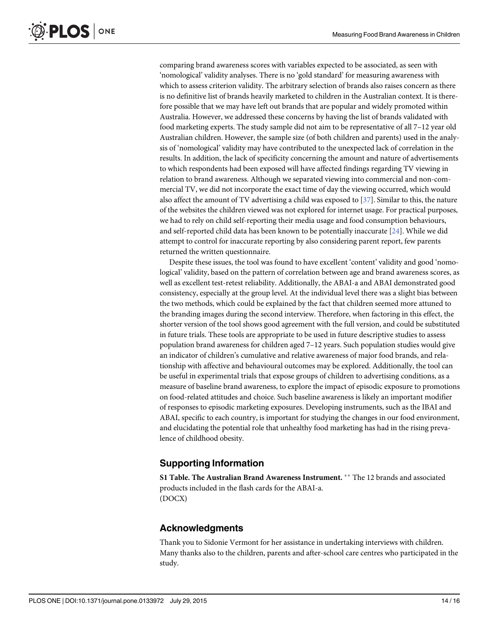<span id="page-15-0"></span>comparing brand awareness scores with variables expected to be associated, as seen with 'nomological' validity analyses. There is no 'gold standard' for measuring awareness with which to assess criterion validity. The arbitrary selection of brands also raises concern as there is no definitive list of brands heavily marketed to children in the Australian context. It is therefore possible that we may have left out brands that are popular and widely promoted within Australia. However, we addressed these concerns by having the list of brands validated with food marketing experts. The study sample did not aim to be representative of all 7–12 year old Australian children. However, the sample size (of both children and parents) used in the analysis of 'nomological' validity may have contributed to the unexpected lack of correlation in the results. In addition, the lack of specificity concerning the amount and nature of advertisements to which respondents had been exposed will have affected findings regarding TV viewing in relation to brand awareness. Although we separated viewing into commercial and non-commercial TV, we did not incorporate the exact time of day the viewing occurred, which would also affect the amount of TV advertising a child was exposed to [[37](#page-17-0)]. Similar to this, the nature of the websites the children viewed was not explored for internet usage. For practical purposes, we had to rely on child self-reporting their media usage and food consumption behaviours, and self-reported child data has been known to be potentially inaccurate [[24](#page-17-0)]. While we did attempt to control for inaccurate reporting by also considering parent report, few parents returned the written questionnaire.

Despite these issues, the tool was found to have excellent 'content' validity and good 'nomological' validity, based on the pattern of correlation between age and brand awareness scores, as well as excellent test-retest reliability. Additionally, the ABAI-a and ABAI demonstrated good consistency, especially at the group level. At the individual level there was a slight bias between the two methods, which could be explained by the fact that children seemed more attuned to the branding images during the second interview. Therefore, when factoring in this effect, the shorter version of the tool shows good agreement with the full version, and could be substituted in future trials. These tools are appropriate to be used in future descriptive studies to assess population brand awareness for children aged 7–12 years. Such population studies would give an indicator of children's cumulative and relative awareness of major food brands, and relationship with affective and behavioural outcomes may be explored. Additionally, the tool can be useful in experimental trials that expose groups of children to advertising conditions, as a measure of baseline brand awareness, to explore the impact of episodic exposure to promotions on food-related attitudes and choice. Such baseline awareness is likely an important modifier of responses to episodic marketing exposures. Developing instruments, such as the IBAI and ABAI, specific to each country, is important for studying the changes in our food environment, and elucidating the potential role that unhealthy food marketing has had in the rising prevalence of childhood obesity.

# Supporting Information

[S1 Table](http://www.plosone.org/article/fetchSingleRepresentation.action?uri=info:doi/10.1371/journal.pone.0133972.s001). The Australian Brand Awareness Instrument. \*\* The 12 brands and associated products included in the flash cards for the ABAI-a. (DOCX)

# Acknowledgments

Thank you to Sidonie Vermont for her assistance in undertaking interviews with children. Many thanks also to the children, parents and after-school care centres who participated in the study.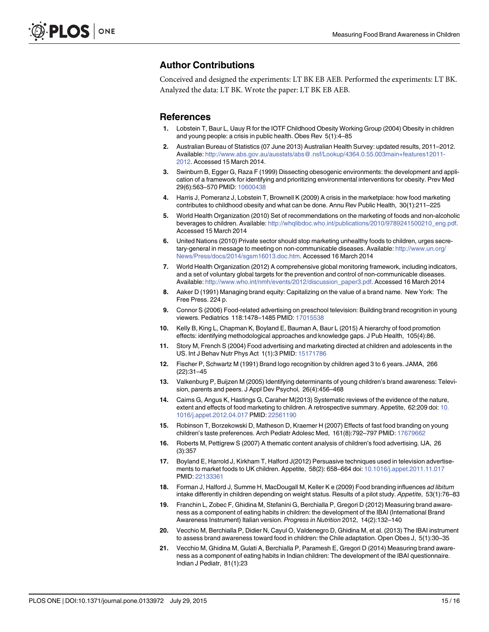# <span id="page-16-0"></span>Author Contributions

Conceived and designed the experiments: LT BK EB AEB. Performed the experiments: LT BK. Analyzed the data: LT BK. Wrote the paper: LT BK EB AEB.

#### References

- [1.](#page-3-0) Lobstein T, Baur L, Uauy R for the IOTF Childhood Obesity Working Group (2004) Obesity in children and young people: a crisis in public health. Obes Rev 5(1):4–85
- [2.](#page-3-0) Australian Bureau of Statistics (07 June 2013) Australian Health Survey: updated results, 2011–2012. Available: [http://www.abs.gov.au/ausstats/abs@.nsf/Lookup/4364.0.55.003main+features12011-](http://www.abs.gov.au/ausstats/abs@.nsf/Lookup/4364.0.55.003main+features12011-2012) [2012.](http://www.abs.gov.au/ausstats/abs@.nsf/Lookup/4364.0.55.003main+features12011-2012) Accessed 15 March 2014.
- [3.](#page-3-0) Swinburn B, Egger G, Raza F (1999) Dissecting obesogenic environments: the development and application of a framework for identifying and prioritizing environmental interventions for obesity. Prev Med 29(6):563–570 PMID: [10600438](http://www.ncbi.nlm.nih.gov/pubmed/10600438)
- [4.](#page-3-0) Harris J, Pomeranz J, Lobstein T, Brownell K (2009) A crisis in the marketplace: how food marketing contributes to childhood obesity and what can be done. Annu Rev Public Health, 30(1):211–225
- [5.](#page-3-0) World Health Organization (2010) Set of recommendations on the marketing of foods and non-alcoholic beverages to children. Available: [http://whqlibdoc.who.int/publications/2010/9789241500210\\_eng.pdf.](http://whqlibdoc.who.int/publications/2010/9789241500210_eng.pdf) Accessed 15 March 2014
- [6.](#page-3-0) United Nations (2010) Private sector should stop marketing unhealthy foods to children, urges secretary-general in message to meeting on non-communicable diseases. Available: [http://www.un.org/](http://www.un.org/News/Press/docs/2014/sgsm16013.doc.htm) [News/Press/docs/2014/sgsm16013.doc.htm](http://www.un.org/News/Press/docs/2014/sgsm16013.doc.htm). Accessed 16 March 2014
- [7.](#page-3-0) World Health Organization (2012) A comprehensive global monitoring framework, including indicators, and a set of voluntary global targets for the prevention and control of non-communicable diseases. Available: [http://www.who.int/nmh/events/2012/discussion\\_paper3.pdf](http://www.who.int/nmh/events/2012/discussion_paper3.pdf). Accessed 16 March 2014
- [8.](#page-3-0) Aaker D (1991) Managing brand equity: Capitalizing on the value of a brand name. New York: The Free Press. 224 p.
- 9. Connor S (2006) Food-related advertising on preschool television: Building brand recognition in young viewers. Pediatrics 118:1478–1485 PMID: [17015538](http://www.ncbi.nlm.nih.gov/pubmed/17015538)
- [10.](#page-3-0) Kelly B, King L, Chapman K, Boyland E, Bauman A, Baur L (2015) A hierarchy of food promotion effects: identifying methodological approaches and knowledge gaps. J Pub Health, 105(4):86.
- [11.](#page-3-0) Story M, French S (2004) Food advertising and marketing directed at children and adolescents in the US. Int J Behav Nutr Phys Act 1(1):3 PMID: [15171786](http://www.ncbi.nlm.nih.gov/pubmed/15171786)
- [12.](#page-3-0) Fischer P, Schwartz M (1991) Brand logo recognition by children aged 3 to 6 years. JAMA, 266 (22):31–45
- [13.](#page-3-0) Valkenburg P, Buijzen M (2005) Identifying determinants of young children's brand awareness: Television, parents and peers. J Appl Dev Psychol, 26(4):456–468
- [14.](#page-3-0) Cairns G, Angus K, Hastings G, Caraher M(2013) Systematic reviews of the evidence of the nature, extent and effects of food marketing to children. A retrospective summary. Appetite, 62:209 doi: [10.](http://dx.doi.org/10.1016/j.appet.2012.04.017) [1016/j.appet.2012.04.017](http://dx.doi.org/10.1016/j.appet.2012.04.017) PMID: [22561190](http://www.ncbi.nlm.nih.gov/pubmed/22561190)
- [15.](#page-4-0) Robinson T, Borzekowski D, Matheson D, Kraemer H (2007) Effects of fast food branding on young children's taste preferences. Arch Pediatr Adolesc Med, 161(8):792–797 PMID: [17679662](http://www.ncbi.nlm.nih.gov/pubmed/17679662)
- [16.](#page-4-0) Roberts M, Pettigrew S (2007) A thematic content analysis of children's food advertising. IJA, 26 (3):357
- [17.](#page-4-0) Boyland E, Harrold J, Kirkham T, Halford J(2012) Persuasive techniques used in television advertisements to market foods to UK children. Appetite, 58(2): 658–664 doi: [10.1016/j.appet.2011.11.017](http://dx.doi.org/10.1016/j.appet.2011.11.017) PMID: [22133361](http://www.ncbi.nlm.nih.gov/pubmed/22133361)
- [18.](#page-4-0) Forman J, Halford J, Summe H, MacDougall M, Keller K e (2009) Food branding influences ad libitum intake differently in children depending on weight status. Results of a pilot study. Appetite, 53(1):76–83
- [19.](#page-4-0) Franchin L, Zobec F, Ghidina M, Stefanini G, Berchialla P, Gregori D (2012) Measuring brand awareness as a component of eating habits in children: the development of the IBAI (International Brand Awareness Instrument) Italian version. Progress in Nutrition 2012, 14(2):132–140
- [20.](#page-4-0) Vecchio M, Berchialla P, Didier N, Cayul O, Valdenegro D, Ghidina M, et al. (2013) The IBAI instrument to assess brand awareness toward food in children: the Chile adaptation. Open Obes J, 5(1):30–35
- [21.](#page-4-0) Vecchio M, Ghidina M, Gulati A, Berchialla P, Paramesh E, Gregori D (2014) Measuring brand awareness as a component of eating habits in Indian children: The development of the IBAI questionnaire. Indian J Pediatr, 81(1):23